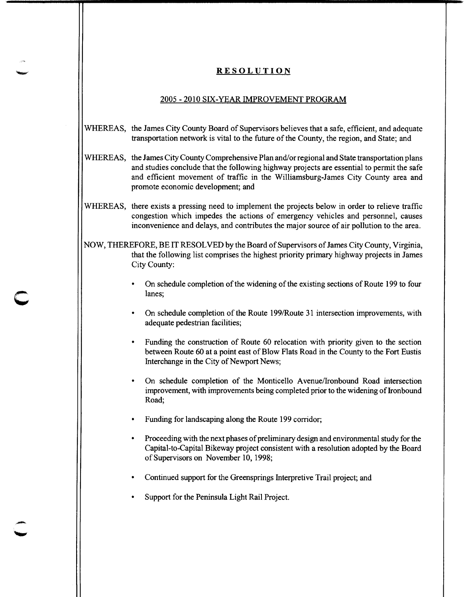## **RESOLUTION**

## 2005-2010 SIX-YEAR IMPROVEMENT PROGRAM

## WHEREAS, the James City County Board of Supervisors believes that a safe, efficient, and adequate transportation network is vital to the future of the County, the region, and State; and

- WHEREAS, the James City County Comprehensive Plan and/or regional and State transportation plans and studies conclude that the following highway projects are essential to permit the safe and efficient movement of traffic in the Williamsburg-James City County area and promote economic development; and
- WHEREAS, there exists a pressing need to implement the projects below in order to relieve traffic congestion which impedes the actions of emergency vehicles and personnel, causes inconvenience and delays, and contributes the major source of air pollution to the area.

NOW, THEREFORE, BE IT RESOLVED by the Board of Supervisors of James City County, Virginia, that the following list comprises the highest priority primary highway projects in James City County:

- On schedule completion of the widening of the existing sections of Route 199 to four lanes;
- On schedule completion of the Route 199/Route 31 intersection improvements, with adequate pedestrian facilities;
- Funding the construction of Route 60 relocation with priority given to the section between Route 60 at a point east of Blow Flats Road in the County to the Fort Eustis Interchange in the City of Newport News;
- On schedule completion of the Monticello A venue/Ironbound Road intersection improvement, with improvements being completed prior to the widening of Ironbound Road;
- Funding for landscaping along the Route 199 corridor;
- Proceeding with the next phases of preliminary design and environmental study for the Capital-to-Capital Bikeway project consistent with a resolution adopted by the Board of Supervisors on November 10, 1998;
- Continued support for the Greensprings Interpretive Trail project; and
- Support for the Peninsula Light Rail Project.